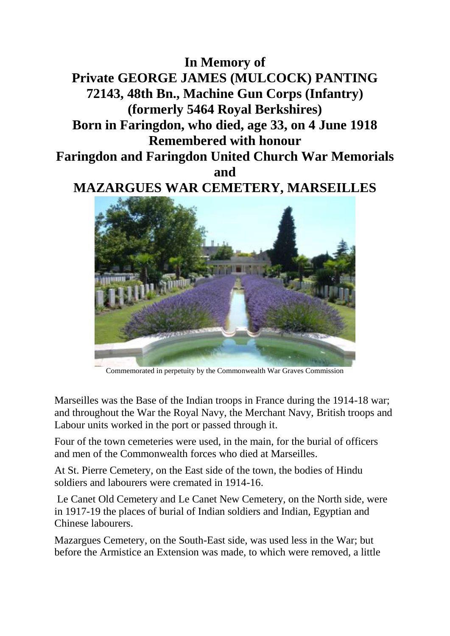**In Memory of Private GEORGE JAMES (MULCOCK) PANTING 72143, 48th Bn., Machine Gun Corps (Infantry) (formerly 5464 Royal Berkshires) Born in Faringdon, who died, age 33, on 4 June 1918 Remembered with honour Faringdon and Faringdon United Church War Memorials and MAZARGUES WAR CEMETERY, MARSEILLES**



Commemorated in perpetuity by the Commonwealth War Graves Commission

Marseilles was the Base of the Indian troops in France during the 1914-18 war; and throughout the War the Royal Navy, the Merchant Navy, British troops and Labour units worked in the port or passed through it.

Four of the town cemeteries were used, in the main, for the burial of officers and men of the Commonwealth forces who died at Marseilles.

At St. Pierre Cemetery, on the East side of the town, the bodies of Hindu soldiers and labourers were cremated in 1914-16.

Le Canet Old Cemetery and Le Canet New Cemetery, on the North side, were in 1917-19 the places of burial of Indian soldiers and Indian, Egyptian and Chinese labourers.

Mazargues Cemetery, on the South-East side, was used less in the War; but before the Armistice an Extension was made, to which were removed, a little